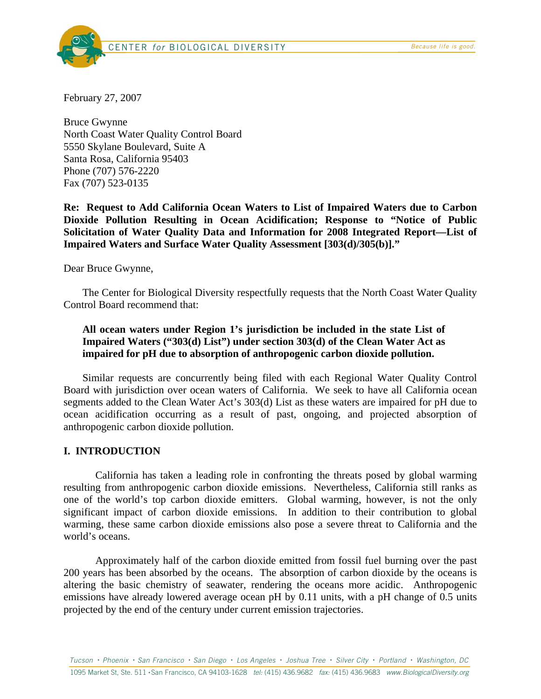CENTER for BIOLOGICAL DIVERSITY **Example 2008** *Because life is good.* 



February 27, 2007

Bruce Gwynne North Coast Water Quality Control Board 5550 Skylane Boulevard, Suite A Santa Rosa, California 95403 Phone (707) 576-2220 Fax (707) 523-0135

**Re: Request to Add California Ocean Waters to List of Impaired Waters due to Carbon Dioxide Pollution Resulting in Ocean Acidification; Response to "Notice of Public Solicitation of Water Quality Data and Information for 2008 Integrated Report—List of Impaired Waters and Surface Water Quality Assessment [303(d)/305(b)]."** 

Dear Bruce Gwynne,

The Center for Biological Diversity respectfully requests that the North Coast Water Quality Control Board recommend that:

# **All ocean waters under Region 1's jurisdiction be included in the state List of Impaired Waters ("303(d) List") under section 303(d) of the Clean Water Act as impaired for pH due to absorption of anthropogenic carbon dioxide pollution.**

Similar requests are concurrently being filed with each Regional Water Quality Control Board with jurisdiction over ocean waters of California. We seek to have all California ocean segments added to the Clean Water Act's 303(d) List as these waters are impaired for pH due to ocean acidification occurring as a result of past, ongoing, and projected absorption of anthropogenic carbon dioxide pollution.

## **I. INTRODUCTION**

California has taken a leading role in confronting the threats posed by global warming resulting from anthropogenic carbon dioxide emissions. Nevertheless, California still ranks as one of the world's top carbon dioxide emitters. Global warming, however, is not the only significant impact of carbon dioxide emissions. In addition to their contribution to global warming, these same carbon dioxide emissions also pose a severe threat to California and the world's oceans.

Approximately half of the carbon dioxide emitted from fossil fuel burning over the past 200 years has been absorbed by the oceans. The absorption of carbon dioxide by the oceans is altering the basic chemistry of seawater, rendering the oceans more acidic. Anthropogenic emissions have already lowered average ocean pH by 0.11 units, with a pH change of 0.5 units projected by the end of the century under current emission trajectories.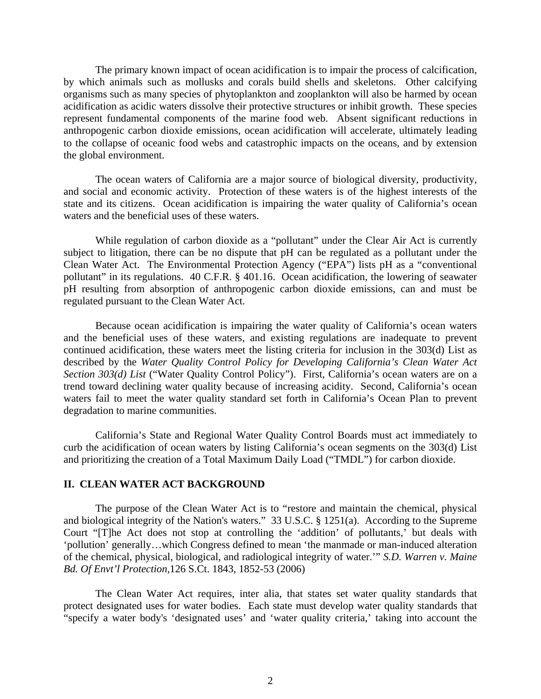The primary known impact of ocean acidification is to impair the process of calcification, by which animals such as mollusks and corals build shells and skeletons. Other calcifying organisms such as many species of phytoplankton and zooplankton will also be harmed by ocean acidification as acidic waters dissolve their protective structures or inhibit growth. These species represent fundamental components of the marine food web. Absent significant reductions in anthropogenic carbon dioxide emissions, ocean acidification will accelerate, ultimately leading to the collapse of oceanic food webs and catastrophic impacts on the oceans, and by extension the global environment.

The ocean waters of California are a major source of biological diversity, productivity, and social and economic activity. Protection of these waters is of the highest interests of the state and its citizens. Ocean acidification is impairing the water quality of California's ocean waters and the beneficial uses of these waters.

While regulation of carbon dioxide as a "pollutant" under the Clear Air Act is currently subject to litigation, there can be no dispute that pH can be regulated as a pollutant under the Clean Water Act. The Environmental Protection Agency ("EPA") lists pH as a "conventional pollutant" in its regulations. 40 C.F.R. § 401.16. Ocean acidification, the lowering of seawater pH resulting from absorption of anthropogenic carbon dioxide emissions, can and must be regulated pursuant to the Clean Water Act.

Because ocean acidification is impairing the water quality of California's ocean waters and the beneficial uses of these waters, and existing regulations are inadequate to prevent continued acidification, these waters meet the listing criteria for inclusion in the 303(d) List as described by the *Water Quality Control Policy for Developing California's Clean Water Act Section 303(d) List* ("Water Quality Control Policy"). First, California's ocean waters are on a trend toward declining water quality because of increasing acidity. Second, California's ocean waters fail to meet the water quality standard set forth in California's Ocean Plan to prevent degradation to marine communities.

 California's State and Regional Water Quality Control Boards must act immediately to curb the acidification of ocean waters by listing California's ocean segments on the 303(d) List and prioritizing the creation of a Total Maximum Daily Load ("TMDL") for carbon dioxide.

## **II. CLEAN WATER ACT BACKGROUND**

The purpose of the Clean Water Act is to "restore and maintain the chemical, physical and biological integrity of the Nation's waters." 33 U.S.C. § 1251(a). According to the Supreme Court "[T]he Act does not stop at controlling the 'addition' of pollutants,' but deals with 'pollution' generally…which Congress defined to mean 'the manmade or man-induced alteration of the chemical, physical, biological, and radiological integrity of water.'" *S.D. Warren v. Maine Bd. Of Envt'l Protection,*126 S.Ct. 1843, 1852-53 (2006)

The Clean Water Act requires, inter alia, that states set water quality standards that protect designated uses for water bodies. Each state must develop water quality standards that "specify a water body's 'designated uses' and 'water quality criteria,' taking into account the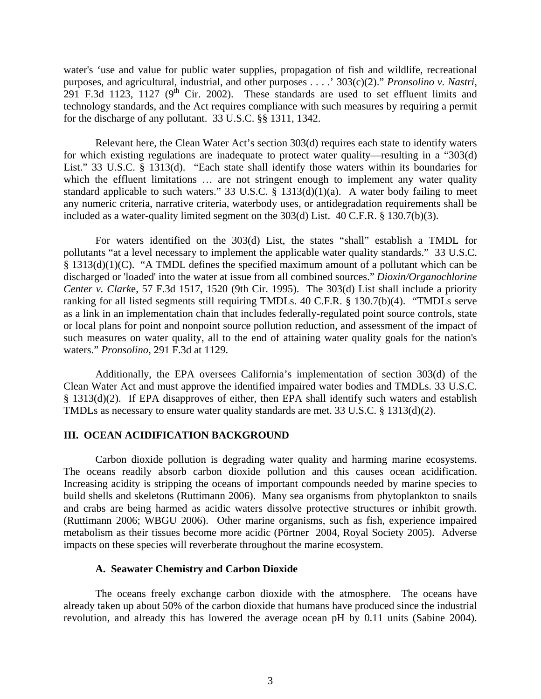water's 'use and value for public water supplies, propagation of fish and wildlife, recreational purposes, and agricultural, industrial, and other purposes . . . .' 303(c)(2)." *Pronsolino v. Nastri*, 291 F.3d 1123, 1127 ( $9<sup>th</sup>$  Cir. 2002). These standards are used to set effluent limits and technology standards, and the Act requires compliance with such measures by requiring a permit for the discharge of any pollutant. 33 U.S.C. §§ 1311, 1342.

Relevant here, the Clean Water Act's section 303(d) requires each state to identify waters for which existing regulations are inadequate to protect water quality—resulting in a "303(d) List." 33 U.S.C. § 1313(d). "Each state shall identify those waters within its boundaries for which the effluent limitations ... are not stringent enough to implement any water quality standard applicable to such waters." 33 U.S.C.  $\S$  1313(d)(1)(a). A water body failing to meet any numeric criteria, narrative criteria, waterbody uses, or antidegradation requirements shall be included as a water-quality limited segment on the 303(d) List. 40 C.F.R. § 130.7(b)(3).

For waters identified on the 303(d) List, the states "shall" establish a TMDL for pollutants "at a level necessary to implement the applicable water quality standards." 33 U.S.C. § 1313(d)(1)(C). "A TMDL defines the specified maximum amount of a pollutant which can be discharged or 'loaded' into the water at issue from all combined sources." *Dioxin/Organochlorine Center v. Clark*e, 57 F.3d 1517, 1520 (9th Cir. 1995). The 303(d) List shall include a priority ranking for all listed segments still requiring TMDLs. 40 C.F.R. § 130.7(b)(4). "TMDLs serve as a link in an implementation chain that includes federally-regulated point source controls, state or local plans for point and nonpoint source pollution reduction, and assessment of the impact of such measures on water quality, all to the end of attaining water quality goals for the nation's waters." *Pronsolino,* 291 F.3d at 1129.

Additionally, the EPA oversees California's implementation of section 303(d) of the Clean Water Act and must approve the identified impaired water bodies and TMDLs. 33 U.S.C. § 1313(d)(2). If EPA disapproves of either, then EPA shall identify such waters and establish TMDLs as necessary to ensure water quality standards are met. 33 U.S.C. § 1313(d)(2).

## **III. OCEAN ACIDIFICATION BACKGROUND**

Carbon dioxide pollution is degrading water quality and harming marine ecosystems. The oceans readily absorb carbon dioxide pollution and this causes ocean acidification. Increasing acidity is stripping the oceans of important compounds needed by marine species to build shells and skeletons (Ruttimann 2006). Many sea organisms from phytoplankton to snails and crabs are being harmed as acidic waters dissolve protective structures or inhibit growth. (Ruttimann 2006; WBGU 2006). Other marine organisms, such as fish, experience impaired metabolism as their tissues become more acidic (Pörtner 2004, Royal Society 2005). Adverse impacts on these species will reverberate throughout the marine ecosystem.

#### **A. Seawater Chemistry and Carbon Dioxide**

The oceans freely exchange carbon dioxide with the atmosphere. The oceans have already taken up about 50% of the carbon dioxide that humans have produced since the industrial revolution, and already this has lowered the average ocean pH by 0.11 units (Sabine 2004).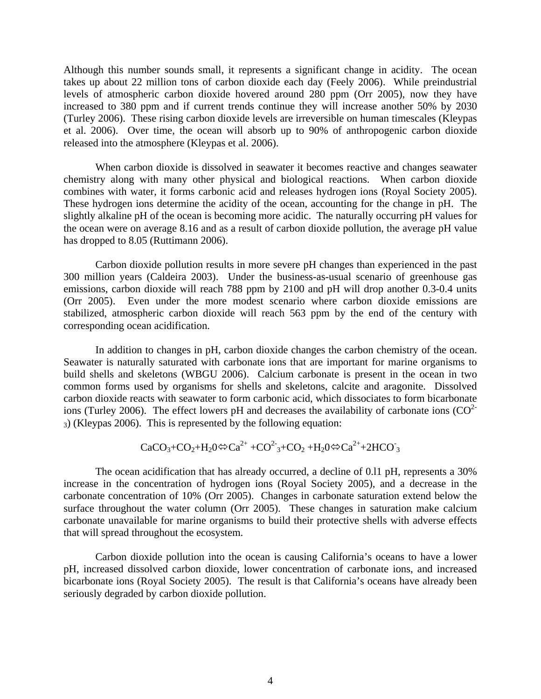Although this number sounds small, it represents a significant change in acidity. The ocean takes up about 22 million tons of carbon dioxide each day (Feely 2006). While preindustrial levels of atmospheric carbon dioxide hovered around 280 ppm (Orr 2005), now they have increased to 380 ppm and if current trends continue they will increase another 50% by 2030 (Turley 2006). These rising carbon dioxide levels are irreversible on human timescales (Kleypas et al. 2006). Over time, the ocean will absorb up to 90% of anthropogenic carbon dioxide released into the atmosphere (Kleypas et al. 2006).

When carbon dioxide is dissolved in seawater it becomes reactive and changes seawater chemistry along with many other physical and biological reactions. When carbon dioxide combines with water, it forms carbonic acid and releases hydrogen ions (Royal Society 2005). These hydrogen ions determine the acidity of the ocean, accounting for the change in pH. The slightly alkaline pH of the ocean is becoming more acidic. The naturally occurring pH values for the ocean were on average 8.16 and as a result of carbon dioxide pollution, the average pH value has dropped to 8.05 (Ruttimann 2006).

Carbon dioxide pollution results in more severe pH changes than experienced in the past 300 million years (Caldeira 2003). Under the business-as-usual scenario of greenhouse gas emissions, carbon dioxide will reach 788 ppm by 2100 and pH will drop another 0.3-0.4 units (Orr 2005). Even under the more modest scenario where carbon dioxide emissions are stabilized, atmospheric carbon dioxide will reach 563 ppm by the end of the century with corresponding ocean acidification.

 In addition to changes in pH, carbon dioxide changes the carbon chemistry of the ocean. Seawater is naturally saturated with carbonate ions that are important for marine organisms to build shells and skeletons (WBGU 2006). Calcium carbonate is present in the ocean in two common forms used by organisms for shells and skeletons, calcite and aragonite. Dissolved carbon dioxide reacts with seawater to form carbonic acid, which dissociates to form bicarbonate ions (Turley 2006). The effect lowers pH and decreases the availability of carbonate ions  $(CO^{2-})$ 3) (Kleypas 2006). This is represented by the following equation:

$$
CaCO3+CO2+H20\Leftrightarrow Ca2+ + CO23+CO2+H20\Leftrightarrow Ca2++2HCO3
$$

The ocean acidification that has already occurred, a decline of 0.l1 pH, represents a 30% increase in the concentration of hydrogen ions (Royal Society 2005), and a decrease in the carbonate concentration of 10% (Orr 2005). Changes in carbonate saturation extend below the surface throughout the water column (Orr 2005). These changes in saturation make calcium carbonate unavailable for marine organisms to build their protective shells with adverse effects that will spread throughout the ecosystem.

Carbon dioxide pollution into the ocean is causing California's oceans to have a lower pH, increased dissolved carbon dioxide, lower concentration of carbonate ions, and increased bicarbonate ions (Royal Society 2005). The result is that California's oceans have already been seriously degraded by carbon dioxide pollution.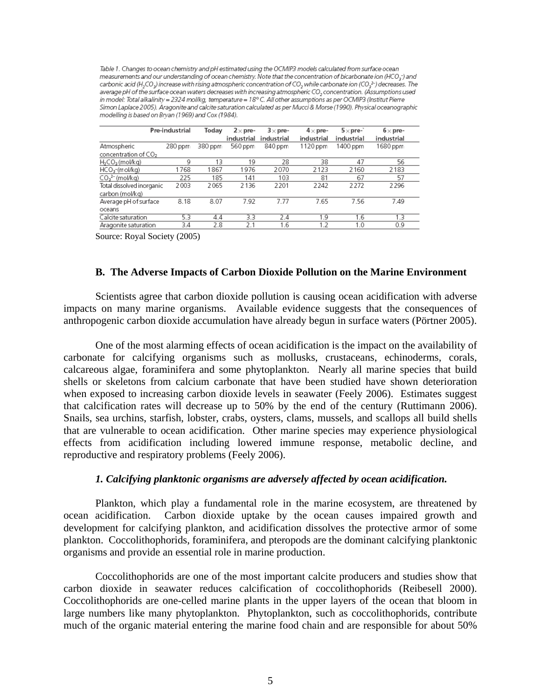Table 1. Changes to ocean chemistry and pH estimated using the OCMIP3 models calculated from surface ocean measurements and our understanding of ocean chemistry. Note that the concentration of bicarbonate ion (HCO<sub>5</sub>) and carbonic acid (H<sub>2</sub>CO<sub>3</sub>) increase with rising atmospheric concentration of CO<sub>2</sub> while carbonate ion (CO<sub>3</sub><sup>2-</sup>) decreases. The average pH of the surface ocean waters decreases with increasing atmospheric CO<sub>2</sub> concentration. (Assumptions used in model: Total alkalinity = 2324 mol/kg, temperature = 18° C. All other assumptions as per OCMIP3 (Institut Pierre Simon Laplace 2005). Aragonite and calcite saturation calculated as per Mucci & Morse (1990). Physical oceanographic modelling is based on Brvan (1969) and Cox (1984).

|                                  | Pre-industrial | Today   | $2\times$ pre-<br>industrial | $3\times$ pre-<br>industrial | $4\times$ pre-<br>industrial | $5 \times$ pre-`<br>industrial | $6\times$ pre-<br>industrial |
|----------------------------------|----------------|---------|------------------------------|------------------------------|------------------------------|--------------------------------|------------------------------|
| Atmospheric                      | 280 ppm        | 380 ppm | 560 ppm                      | 840 ppm                      | 1120 ppm                     | 1400 ppm                       | 1680 ppm                     |
| concentration of CO <sub>2</sub> |                |         |                              |                              |                              |                                |                              |
| $H2CO3$ (mol/kg)                 | 9              | 13      | 19                           | 28                           | 38                           | 47                             | 56                           |
| HCO <sub>3</sub> -(mol/kg)       | 1768           | 1867    | 1976                         | 2070                         | 2123                         | 2160                           | 2183                         |
| $CO32- (mol/kg)$                 | 225            | 185     | 141                          | 103                          | 81                           | 67                             | 57                           |
| Total dissolved inorganic        | 2003           | 2065    | 2136                         | 2201                         | 2242                         | 2272                           | 2296                         |
| carbon (mol/kg)                  |                |         |                              |                              |                              |                                |                              |
| Average pH of surface            | 8.18           | 8.07    | 7.92                         | 7.77                         | 7.65                         | 7.56                           | 7.49                         |
| oceans                           |                |         |                              |                              |                              |                                |                              |
| Calcite saturation               | 5.3            | 4.4     | 3.3                          | 2.4                          | 1.9                          | 1.6                            | 1.3                          |
| Aragonite saturation             | 3.4            | 2.8     | 2.1                          | 1.6                          | 1.2                          | 1.0                            | 0.9                          |

Source: Royal Society (2005)

#### **B. The Adverse Impacts of Carbon Dioxide Pollution on the Marine Environment**

 Scientists agree that carbon dioxide pollution is causing ocean acidification with adverse impacts on many marine organisms. Available evidence suggests that the consequences of anthropogenic carbon dioxide accumulation have already begun in surface waters (Pörtner 2005).

One of the most alarming effects of ocean acidification is the impact on the availability of carbonate for calcifying organisms such as mollusks, crustaceans, echinoderms, corals, calcareous algae, foraminifera and some phytoplankton. Nearly all marine species that build shells or skeletons from calcium carbonate that have been studied have shown deterioration when exposed to increasing carbon dioxide levels in seawater (Feely 2006). Estimates suggest that calcification rates will decrease up to 50% by the end of the century (Ruttimann 2006). Snails, sea urchins, starfish, lobster, crabs, oysters, clams, mussels, and scallops all build shells that are vulnerable to ocean acidification. Other marine species may experience physiological effects from acidification including lowered immune response, metabolic decline, and reproductive and respiratory problems (Feely 2006).

### *1. Calcifying planktonic organisms are adversely affected by ocean acidification.*

 Plankton, which play a fundamental role in the marine ecosystem, are threatened by ocean acidification. Carbon dioxide uptake by the ocean causes impaired growth and development for calcifying plankton, and acidification dissolves the protective armor of some plankton. Coccolithophorids, foraminifera, and pteropods are the dominant calcifying planktonic organisms and provide an essential role in marine production.

Coccolithophorids are one of the most important calcite producers and studies show that carbon dioxide in seawater reduces calcification of coccolithophorids (Reibesell 2000). Coccolithophorids are one-celled marine plants in the upper layers of the ocean that bloom in large numbers like many phytoplankton. Phytoplankton, such as coccolithophorids, contribute much of the organic material entering the marine food chain and are responsible for about 50%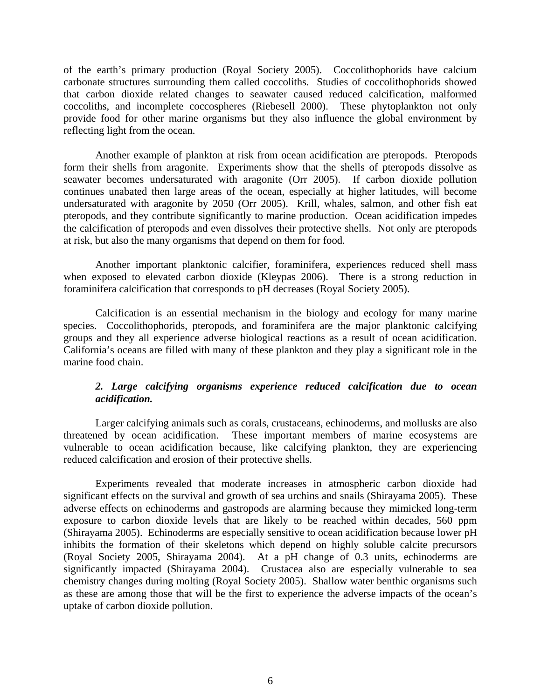of the earth's primary production (Royal Society 2005). Coccolithophorids have calcium carbonate structures surrounding them called coccoliths. Studies of coccolithophorids showed that carbon dioxide related changes to seawater caused reduced calcification, malformed coccoliths, and incomplete coccospheres (Riebesell 2000). These phytoplankton not only provide food for other marine organisms but they also influence the global environment by reflecting light from the ocean.

 Another example of plankton at risk from ocean acidification are pteropods. Pteropods form their shells from aragonite. Experiments show that the shells of pteropods dissolve as seawater becomes undersaturated with aragonite (Orr 2005). If carbon dioxide pollution continues unabated then large areas of the ocean, especially at higher latitudes, will become undersaturated with aragonite by 2050 (Orr 2005). Krill, whales, salmon, and other fish eat pteropods, and they contribute significantly to marine production. Ocean acidification impedes the calcification of pteropods and even dissolves their protective shells. Not only are pteropods at risk, but also the many organisms that depend on them for food.

Another important planktonic calcifier, foraminifera, experiences reduced shell mass when exposed to elevated carbon dioxide (Kleypas 2006). There is a strong reduction in foraminifera calcification that corresponds to pH decreases (Royal Society 2005).

Calcification is an essential mechanism in the biology and ecology for many marine species. Coccolithophorids, pteropods, and foraminifera are the major planktonic calcifying groups and they all experience adverse biological reactions as a result of ocean acidification. California's oceans are filled with many of these plankton and they play a significant role in the marine food chain.

# *2. Large calcifying organisms experience reduced calcification due to ocean acidification.*

Larger calcifying animals such as corals, crustaceans, echinoderms, and mollusks are also threatened by ocean acidification. These important members of marine ecosystems are vulnerable to ocean acidification because, like calcifying plankton, they are experiencing reduced calcification and erosion of their protective shells.

Experiments revealed that moderate increases in atmospheric carbon dioxide had significant effects on the survival and growth of sea urchins and snails (Shirayama 2005). These adverse effects on echinoderms and gastropods are alarming because they mimicked long-term exposure to carbon dioxide levels that are likely to be reached within decades, 560 ppm (Shirayama 2005). Echinoderms are especially sensitive to ocean acidification because lower pH inhibits the formation of their skeletons which depend on highly soluble calcite precursors (Royal Society 2005, Shirayama 2004). At a pH change of 0.3 units, echinoderms are significantly impacted (Shirayama 2004). Crustacea also are especially vulnerable to sea chemistry changes during molting (Royal Society 2005). Shallow water benthic organisms such as these are among those that will be the first to experience the adverse impacts of the ocean's uptake of carbon dioxide pollution.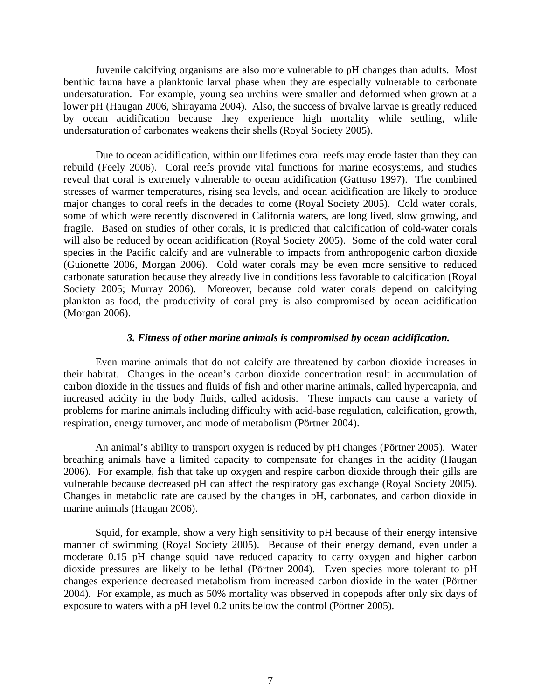Juvenile calcifying organisms are also more vulnerable to pH changes than adults. Most benthic fauna have a planktonic larval phase when they are especially vulnerable to carbonate undersaturation. For example, young sea urchins were smaller and deformed when grown at a lower pH (Haugan 2006, Shirayama 2004). Also, the success of bivalve larvae is greatly reduced by ocean acidification because they experience high mortality while settling, while undersaturation of carbonates weakens their shells (Royal Society 2005).

 Due to ocean acidification, within our lifetimes coral reefs may erode faster than they can rebuild (Feely 2006). Coral reefs provide vital functions for marine ecosystems, and studies reveal that coral is extremely vulnerable to ocean acidification (Gattuso 1997). The combined stresses of warmer temperatures, rising sea levels, and ocean acidification are likely to produce major changes to coral reefs in the decades to come (Royal Society 2005). Cold water corals, some of which were recently discovered in California waters, are long lived, slow growing, and fragile. Based on studies of other corals, it is predicted that calcification of cold-water corals will also be reduced by ocean acidification (Royal Society 2005). Some of the cold water coral species in the Pacific calcify and are vulnerable to impacts from anthropogenic carbon dioxide (Guionette 2006, Morgan 2006). Cold water corals may be even more sensitive to reduced carbonate saturation because they already live in conditions less favorable to calcification (Royal Society 2005; Murray 2006). Moreover, because cold water corals depend on calcifying plankton as food, the productivity of coral prey is also compromised by ocean acidification (Morgan 2006).

#### *3. Fitness of other marine animals is compromised by ocean acidification.*

 Even marine animals that do not calcify are threatened by carbon dioxide increases in their habitat. Changes in the ocean's carbon dioxide concentration result in accumulation of carbon dioxide in the tissues and fluids of fish and other marine animals, called hypercapnia, and increased acidity in the body fluids, called acidosis. These impacts can cause a variety of problems for marine animals including difficulty with acid-base regulation, calcification, growth, respiration, energy turnover, and mode of metabolism (Pörtner 2004).

An animal's ability to transport oxygen is reduced by pH changes (Pörtner 2005). Water breathing animals have a limited capacity to compensate for changes in the acidity (Haugan 2006). For example, fish that take up oxygen and respire carbon dioxide through their gills are vulnerable because decreased pH can affect the respiratory gas exchange (Royal Society 2005). Changes in metabolic rate are caused by the changes in pH, carbonates, and carbon dioxide in marine animals (Haugan 2006).

Squid, for example, show a very high sensitivity to pH because of their energy intensive manner of swimming (Royal Society 2005). Because of their energy demand, even under a moderate 0.15 pH change squid have reduced capacity to carry oxygen and higher carbon dioxide pressures are likely to be lethal (Pörtner 2004). Even species more tolerant to pH changes experience decreased metabolism from increased carbon dioxide in the water (Pörtner 2004). For example, as much as 50% mortality was observed in copepods after only six days of exposure to waters with a pH level 0.2 units below the control (Pörtner 2005).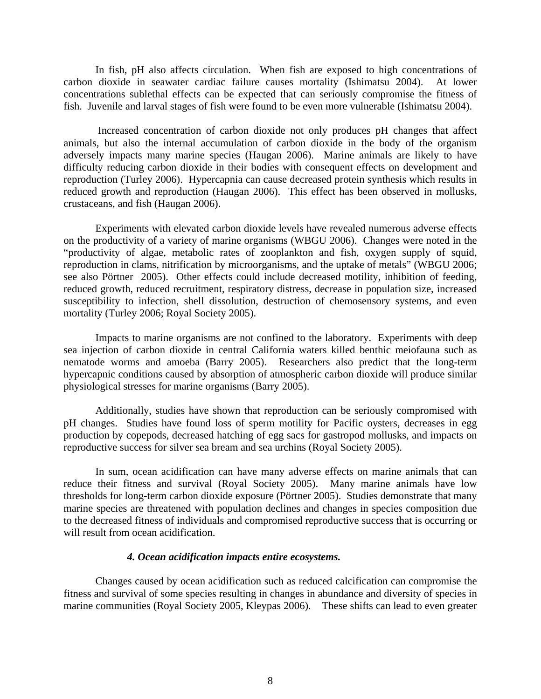In fish, pH also affects circulation. When fish are exposed to high concentrations of carbon dioxide in seawater cardiac failure causes mortality (Ishimatsu 2004). At lower concentrations sublethal effects can be expected that can seriously compromise the fitness of fish. Juvenile and larval stages of fish were found to be even more vulnerable (Ishimatsu 2004).

 Increased concentration of carbon dioxide not only produces pH changes that affect animals, but also the internal accumulation of carbon dioxide in the body of the organism adversely impacts many marine species (Haugan 2006). Marine animals are likely to have difficulty reducing carbon dioxide in their bodies with consequent effects on development and reproduction (Turley 2006). Hypercapnia can cause decreased protein synthesis which results in reduced growth and reproduction (Haugan 2006). This effect has been observed in mollusks, crustaceans, and fish (Haugan 2006).

Experiments with elevated carbon dioxide levels have revealed numerous adverse effects on the productivity of a variety of marine organisms (WBGU 2006). Changes were noted in the "productivity of algae, metabolic rates of zooplankton and fish, oxygen supply of squid, reproduction in clams, nitrification by microorganisms, and the uptake of metals" (WBGU 2006; see also Pörtner 2005). Other effects could include decreased motility, inhibition of feeding, reduced growth, reduced recruitment, respiratory distress, decrease in population size, increased susceptibility to infection, shell dissolution, destruction of chemosensory systems, and even mortality (Turley 2006; Royal Society 2005).

Impacts to marine organisms are not confined to the laboratory. Experiments with deep sea injection of carbon dioxide in central California waters killed benthic meiofauna such as nematode worms and amoeba (Barry 2005). Researchers also predict that the long-term hypercapnic conditions caused by absorption of atmospheric carbon dioxide will produce similar physiological stresses for marine organisms (Barry 2005).

Additionally, studies have shown that reproduction can be seriously compromised with pH changes. Studies have found loss of sperm motility for Pacific oysters, decreases in egg production by copepods, decreased hatching of egg sacs for gastropod mollusks, and impacts on reproductive success for silver sea bream and sea urchins (Royal Society 2005).

In sum, ocean acidification can have many adverse effects on marine animals that can reduce their fitness and survival (Royal Society 2005). Many marine animals have low thresholds for long-term carbon dioxide exposure (Pörtner 2005). Studies demonstrate that many marine species are threatened with population declines and changes in species composition due to the decreased fitness of individuals and compromised reproductive success that is occurring or will result from ocean acidification.

#### *4. Ocean acidification impacts entire ecosystems.*

Changes caused by ocean acidification such as reduced calcification can compromise the fitness and survival of some species resulting in changes in abundance and diversity of species in marine communities (Royal Society 2005, Kleypas 2006). These shifts can lead to even greater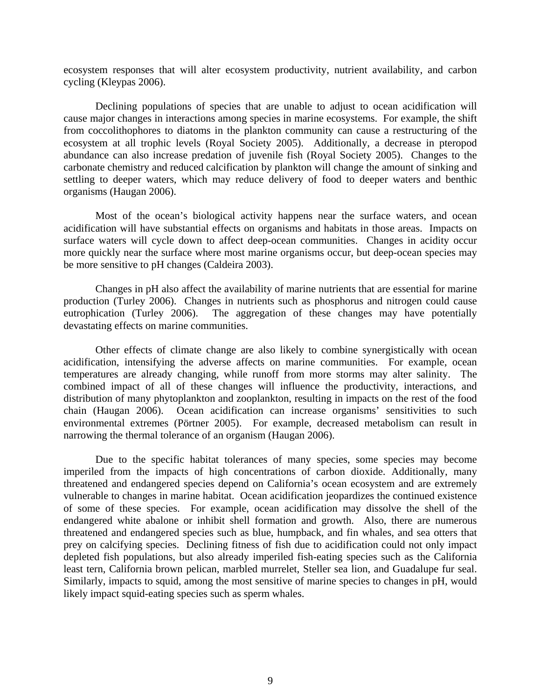ecosystem responses that will alter ecosystem productivity, nutrient availability, and carbon cycling (Kleypas 2006).

Declining populations of species that are unable to adjust to ocean acidification will cause major changes in interactions among species in marine ecosystems. For example, the shift from coccolithophores to diatoms in the plankton community can cause a restructuring of the ecosystem at all trophic levels (Royal Society 2005). Additionally, a decrease in pteropod abundance can also increase predation of juvenile fish (Royal Society 2005). Changes to the carbonate chemistry and reduced calcification by plankton will change the amount of sinking and settling to deeper waters, which may reduce delivery of food to deeper waters and benthic organisms (Haugan 2006).

Most of the ocean's biological activity happens near the surface waters, and ocean acidification will have substantial effects on organisms and habitats in those areas. Impacts on surface waters will cycle down to affect deep-ocean communities. Changes in acidity occur more quickly near the surface where most marine organisms occur, but deep-ocean species may be more sensitive to pH changes (Caldeira 2003).

Changes in pH also affect the availability of marine nutrients that are essential for marine production (Turley 2006). Changes in nutrients such as phosphorus and nitrogen could cause eutrophication (Turley 2006). The aggregation of these changes may have potentially devastating effects on marine communities.

Other effects of climate change are also likely to combine synergistically with ocean acidification, intensifying the adverse affects on marine communities. For example, ocean temperatures are already changing, while runoff from more storms may alter salinity. The combined impact of all of these changes will influence the productivity, interactions, and distribution of many phytoplankton and zooplankton, resulting in impacts on the rest of the food chain (Haugan 2006). Ocean acidification can increase organisms' sensitivities to such environmental extremes (Pörtner 2005). For example, decreased metabolism can result in narrowing the thermal tolerance of an organism (Haugan 2006).

Due to the specific habitat tolerances of many species, some species may become imperiled from the impacts of high concentrations of carbon dioxide. Additionally, many threatened and endangered species depend on California's ocean ecosystem and are extremely vulnerable to changes in marine habitat. Ocean acidification jeopardizes the continued existence of some of these species. For example, ocean acidification may dissolve the shell of the endangered white abalone or inhibit shell formation and growth. Also, there are numerous threatened and endangered species such as blue, humpback, and fin whales, and sea otters that prey on calcifying species. Declining fitness of fish due to acidification could not only impact depleted fish populations, but also already imperiled fish-eating species such as the California least tern, California brown pelican, marbled murrelet, Steller sea lion, and Guadalupe fur seal. Similarly, impacts to squid, among the most sensitive of marine species to changes in pH, would likely impact squid-eating species such as sperm whales.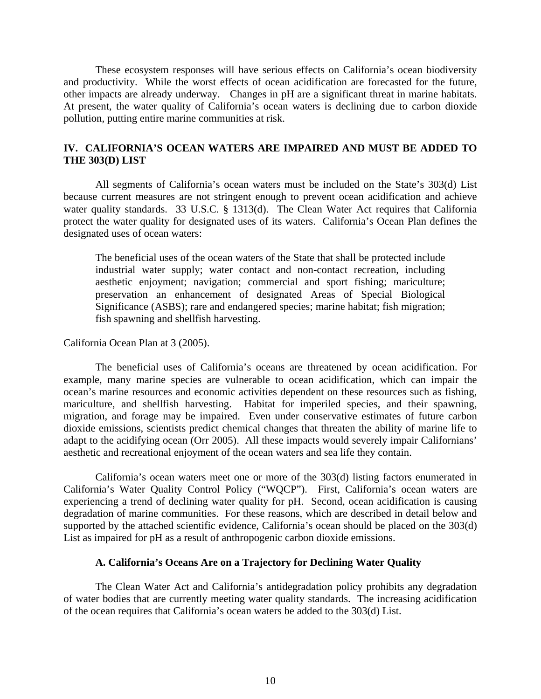These ecosystem responses will have serious effects on California's ocean biodiversity and productivity. While the worst effects of ocean acidification are forecasted for the future, other impacts are already underway. Changes in pH are a significant threat in marine habitats. At present, the water quality of California's ocean waters is declining due to carbon dioxide pollution, putting entire marine communities at risk.

# **IV. CALIFORNIA'S OCEAN WATERS ARE IMPAIRED AND MUST BE ADDED TO THE 303(D) LIST**

 All segments of California's ocean waters must be included on the State's 303(d) List because current measures are not stringent enough to prevent ocean acidification and achieve water quality standards. 33 U.S.C. § 1313(d). The Clean Water Act requires that California protect the water quality for designated uses of its waters. California's Ocean Plan defines the designated uses of ocean waters:

The beneficial uses of the ocean waters of the State that shall be protected include industrial water supply; water contact and non-contact recreation, including aesthetic enjoyment; navigation; commercial and sport fishing; mariculture; preservation an enhancement of designated Areas of Special Biological Significance (ASBS); rare and endangered species; marine habitat; fish migration; fish spawning and shellfish harvesting.

California Ocean Plan at 3 (2005).

The beneficial uses of California's oceans are threatened by ocean acidification. For example, many marine species are vulnerable to ocean acidification, which can impair the ocean's marine resources and economic activities dependent on these resources such as fishing, mariculture, and shellfish harvesting. Habitat for imperiled species, and their spawning, migration, and forage may be impaired. Even under conservative estimates of future carbon dioxide emissions, scientists predict chemical changes that threaten the ability of marine life to adapt to the acidifying ocean (Orr 2005). All these impacts would severely impair Californians' aesthetic and recreational enjoyment of the ocean waters and sea life they contain.

California's ocean waters meet one or more of the 303(d) listing factors enumerated in California's Water Quality Control Policy ("WQCP"). First, California's ocean waters are experiencing a trend of declining water quality for pH. Second, ocean acidification is causing degradation of marine communities. For these reasons, which are described in detail below and supported by the attached scientific evidence, California's ocean should be placed on the 303(d) List as impaired for pH as a result of anthropogenic carbon dioxide emissions.

## **A. California's Oceans Are on a Trajectory for Declining Water Quality**

 The Clean Water Act and California's antidegradation policy prohibits any degradation of water bodies that are currently meeting water quality standards. The increasing acidification of the ocean requires that California's ocean waters be added to the 303(d) List.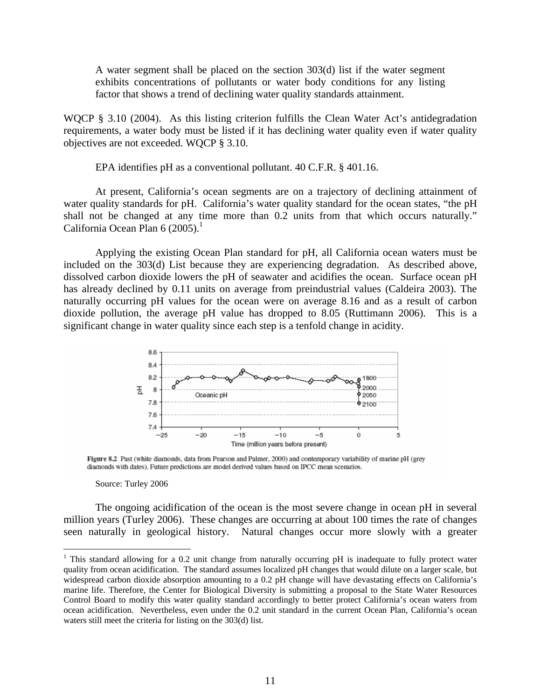A water segment shall be placed on the section 303(d) list if the water segment exhibits concentrations of pollutants or water body conditions for any listing factor that shows a trend of declining water quality standards attainment.

WQCP § 3.10 (2004). As this listing criterion fulfills the Clean Water Act's antidegradation requirements, a water body must be listed if it has declining water quality even if water quality objectives are not exceeded. WQCP § 3.10.

EPA identifies pH as a conventional pollutant. 40 C.F.R. § 401.16.

At present, California's ocean segments are on a trajectory of declining attainment of water quality standards for pH. California's water quality standard for the ocean states, "the pH shall not be changed at any time more than 0.2 units from that which occurs naturally." California Ocean Plan 6  $(2005)$ .<sup>1</sup>

Applying the existing Ocean Plan standard for pH, all California ocean waters must be included on the 303(d) List because they are experiencing degradation. As described above, dissolved carbon dioxide lowers the pH of seawater and acidifies the ocean. Surface ocean pH has already declined by 0.11 units on average from preindustrial values (Caldeira 2003). The naturally occurring pH values for the ocean were on average 8.16 and as a result of carbon dioxide pollution, the average pH value has dropped to 8.05 (Ruttimann 2006). This is a significant change in water quality since each step is a tenfold change in acidity.



Figure 8.2 Past (white diamonds, data from Pearson and Palmer, 2000) and contemporary variability of marine pH (grey diamonds with dates). Future predictions are model derived values based on IPCC mean scenarios.

Source: Turley 2006

 $\overline{a}$ 

The ongoing acidification of the ocean is the most severe change in ocean pH in several million years (Turley 2006). These changes are occurring at about 100 times the rate of changes seen naturally in geological history. Natural changes occur more slowly with a greater

<sup>&</sup>lt;sup>1</sup> This standard allowing for a 0.2 unit change from naturally occurring pH is inadequate to fully protect water quality from ocean acidification. The standard assumes localized pH changes that would dilute on a larger scale, but widespread carbon dioxide absorption amounting to a 0.2 pH change will have devastating effects on California's marine life. Therefore, the Center for Biological Diversity is submitting a proposal to the State Water Resources Control Board to modify this water quality standard accordingly to better protect California's ocean waters from ocean acidification. Nevertheless, even under the 0.2 unit standard in the current Ocean Plan, California's ocean waters still meet the criteria for listing on the 303(d) list.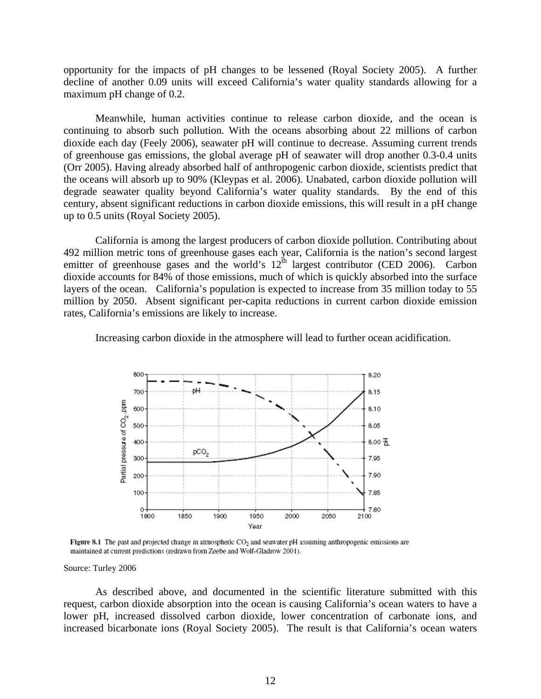opportunity for the impacts of pH changes to be lessened (Royal Society 2005). A further decline of another 0.09 units will exceed California's water quality standards allowing for a maximum pH change of 0.2.

Meanwhile, human activities continue to release carbon dioxide, and the ocean is continuing to absorb such pollution. With the oceans absorbing about 22 millions of carbon dioxide each day (Feely 2006), seawater pH will continue to decrease. Assuming current trends of greenhouse gas emissions, the global average pH of seawater will drop another 0.3-0.4 units (Orr 2005). Having already absorbed half of anthropogenic carbon dioxide, scientists predict that the oceans will absorb up to 90% (Kleypas et al. 2006). Unabated, carbon dioxide pollution will degrade seawater quality beyond California's water quality standards. By the end of this century, absent significant reductions in carbon dioxide emissions, this will result in a pH change up to 0.5 units (Royal Society 2005).

California is among the largest producers of carbon dioxide pollution. Contributing about 492 million metric tons of greenhouse gases each year, California is the nation's second largest emitter of greenhouse gases and the world's 12<sup>th</sup> largest contributor (CED 2006). Carbon dioxide accounts for 84% of those emissions, much of which is quickly absorbed into the surface layers of the ocean. California's population is expected to increase from 35 million today to 55 million by 2050. Absent significant per-capita reductions in current carbon dioxide emission rates, California's emissions are likely to increase.

Increasing carbon dioxide in the atmosphere will lead to further ocean acidification.



Figure 8.1 The past and projected change in atmospheric CO<sub>2</sub> and seawater pH assuming anthropogenic emissions are maintained at current predictions (redrawn from Zeebe and Wolf-Gladrow 2001).

Source: Turley 2006

 As described above, and documented in the scientific literature submitted with this request, carbon dioxide absorption into the ocean is causing California's ocean waters to have a lower pH, increased dissolved carbon dioxide, lower concentration of carbonate ions, and increased bicarbonate ions (Royal Society 2005). The result is that California's ocean waters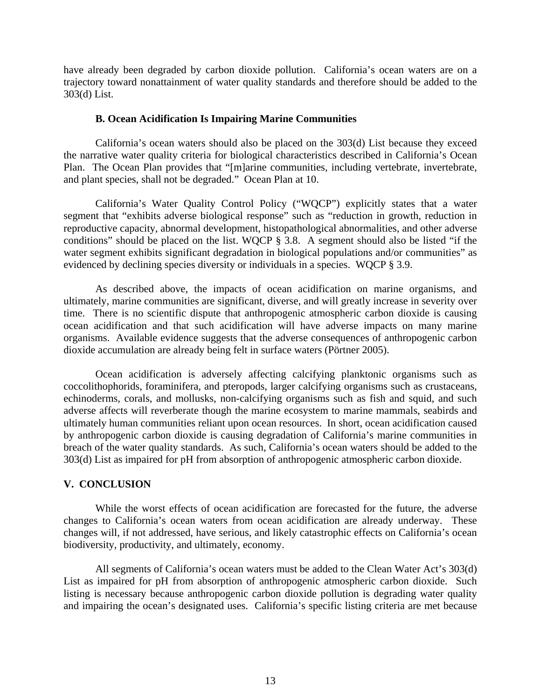have already been degraded by carbon dioxide pollution. California's ocean waters are on a trajectory toward nonattainment of water quality standards and therefore should be added to the 303(d) List.

### **B. Ocean Acidification Is Impairing Marine Communities**

 California's ocean waters should also be placed on the 303(d) List because they exceed the narrative water quality criteria for biological characteristics described in California's Ocean Plan. The Ocean Plan provides that "[m]arine communities, including vertebrate, invertebrate, and plant species, shall not be degraded." Ocean Plan at 10.

 California's Water Quality Control Policy ("WQCP") explicitly states that a water segment that "exhibits adverse biological response" such as "reduction in growth, reduction in reproductive capacity, abnormal development, histopathological abnormalities, and other adverse conditions" should be placed on the list. WQCP § 3.8. A segment should also be listed "if the water segment exhibits significant degradation in biological populations and/or communities" as evidenced by declining species diversity or individuals in a species. WQCP § 3.9.

 As described above, the impacts of ocean acidification on marine organisms, and ultimately, marine communities are significant, diverse, and will greatly increase in severity over time. There is no scientific dispute that anthropogenic atmospheric carbon dioxide is causing ocean acidification and that such acidification will have adverse impacts on many marine organisms. Available evidence suggests that the adverse consequences of anthropogenic carbon dioxide accumulation are already being felt in surface waters (Pörtner 2005).

Ocean acidification is adversely affecting calcifying planktonic organisms such as coccolithophorids, foraminifera, and pteropods, larger calcifying organisms such as crustaceans, echinoderms, corals, and mollusks, non-calcifying organisms such as fish and squid, and such adverse affects will reverberate though the marine ecosystem to marine mammals, seabirds and ultimately human communities reliant upon ocean resources. In short, ocean acidification caused by anthropogenic carbon dioxide is causing degradation of California's marine communities in breach of the water quality standards. As such, California's ocean waters should be added to the 303(d) List as impaired for pH from absorption of anthropogenic atmospheric carbon dioxide.

## **V. CONCLUSION**

While the worst effects of ocean acidification are forecasted for the future, the adverse changes to California's ocean waters from ocean acidification are already underway. These changes will, if not addressed, have serious, and likely catastrophic effects on California's ocean biodiversity, productivity, and ultimately, economy.

All segments of California's ocean waters must be added to the Clean Water Act's 303(d) List as impaired for pH from absorption of anthropogenic atmospheric carbon dioxide. Such listing is necessary because anthropogenic carbon dioxide pollution is degrading water quality and impairing the ocean's designated uses. California's specific listing criteria are met because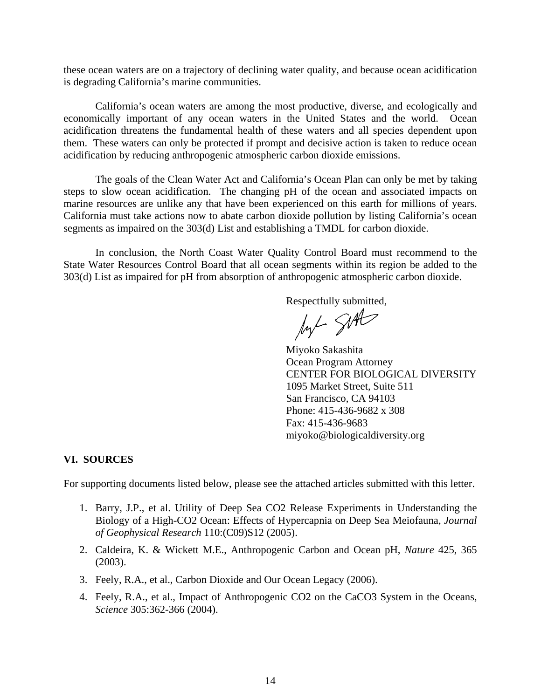these ocean waters are on a trajectory of declining water quality, and because ocean acidification is degrading California's marine communities.

California's ocean waters are among the most productive, diverse, and ecologically and economically important of any ocean waters in the United States and the world. Ocean acidification threatens the fundamental health of these waters and all species dependent upon them. These waters can only be protected if prompt and decisive action is taken to reduce ocean acidification by reducing anthropogenic atmospheric carbon dioxide emissions.

The goals of the Clean Water Act and California's Ocean Plan can only be met by taking steps to slow ocean acidification. The changing pH of the ocean and associated impacts on marine resources are unlike any that have been experienced on this earth for millions of years. California must take actions now to abate carbon dioxide pollution by listing California's ocean segments as impaired on the 303(d) List and establishing a TMDL for carbon dioxide.

In conclusion, the North Coast Water Quality Control Board must recommend to the State Water Resources Control Board that all ocean segments within its region be added to the 303(d) List as impaired for pH from absorption of anthropogenic atmospheric carbon dioxide.

Respectfully submitted,<br> $\mathcal{M}$  SMC

Miyoko Sakashita Ocean Program Attorney CENTER FOR BIOLOGICAL DIVERSITY 1095 Market Street, Suite 511 San Francisco, CA 94103 Phone: 415-436-9682 x 308 Fax: 415-436-9683 miyoko@biologicaldiversity.org

#### **VI. SOURCES**

For supporting documents listed below, please see the attached articles submitted with this letter.

- 1. Barry, J.P., et al. Utility of Deep Sea CO2 Release Experiments in Understanding the Biology of a High-CO2 Ocean: Effects of Hypercapnia on Deep Sea Meiofauna, *Journal of Geophysical Research* 110:(C09)S12 (2005).
- 2. Caldeira, K. & Wickett M.E., Anthropogenic Carbon and Ocean pH, *Nature* 425, 365 (2003).
- 3. Feely, R.A., et al., Carbon Dioxide and Our Ocean Legacy (2006).
- 4. Feely, R.A., et al., Impact of Anthropogenic CO2 on the CaCO3 System in the Oceans, *Science* 305:362-366 (2004).